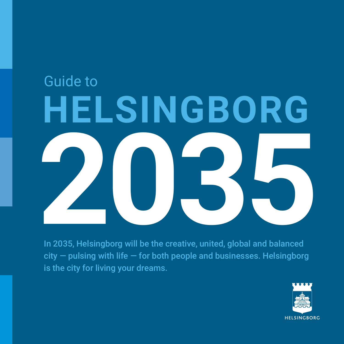# In 2035, Helsingborg will be the creative, united, global and balanced Guide to **HELSINGBORG**

In 2035, Helsingborg will be the creative, united, global and balanced  $city$  – pulsing with life – for both people and businesses. Helsingborg is the city for living your dreams.

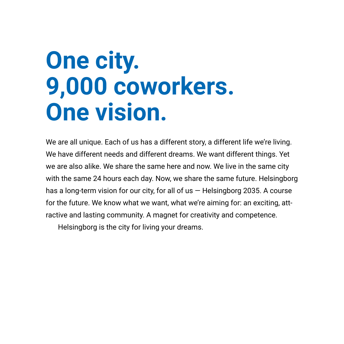### **One city. 9,000 coworkers. One vision.**

We are all unique. Each of us has a different story, a different life we're living. We have different needs and different dreams. We want different things. Yet we are also alike. We share the same here and now. We live in the same city with the same 24 hours each day. Now, we share the same future. Helsingborg has a long-term vision for our city, for all of us  $-$  Helsingborg 2035. A course for the future. We know what we want, what we're aiming for: an exciting, attractive and lasting community. A magnet for creativity and competence.

Helsingborg is the city for living your dreams.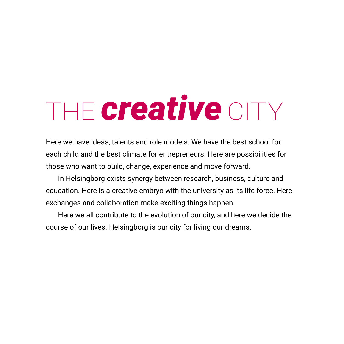## THE *creative* CITY

Here we have ideas, talents and role models. We have the best school for each child and the best climate for entrepreneurs. Here are possibilities for those who want to build, change, experience and move forward.

In Helsingborg exists synergy between research, business, culture and education. Here is a creative embryo with the university as its life force. Here exchanges and collaboration make exciting things happen.

Here we all contribute to the evolution of our city, and here we decide the course of our lives. Helsingborg is our city for living our dreams.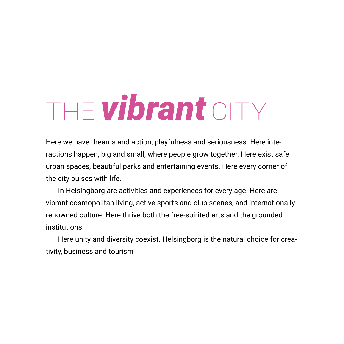# **THE vibrant** CITY

Here we have dreams and action, playfulness and seriousness. Here interactions happen, big and small, where people grow together. Here exist safe urban spaces, beautiful parks and entertaining events. Here every corner of the city pulses with life.

In Helsingborg are activities and experiences for every age. Here are vibrant cosmopolitan living, active sports and club scenes, and internationally renowned culture. Here thrive both the free-spirited arts and the grounded institutions.

Here unity and diversity coexist. Helsingborg is the natural choice for creativity, business and tourism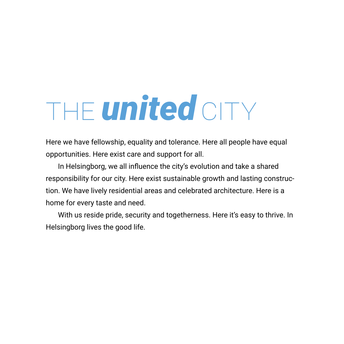# THE **united** CITY

Here we have fellowship, equality and tolerance. Here all people have equal opportunities. Here exist care and support for all.

In Helsingborg, we all influence the city's evolution and take a shared responsibility for our city. Here exist sustainable growth and lasting construction. We have lively residential areas and celebrated architecture. Here is a home for every taste and need.

With us reside pride, security and togetherness. Here it's easy to thrive. In Helsingborg lives the good life.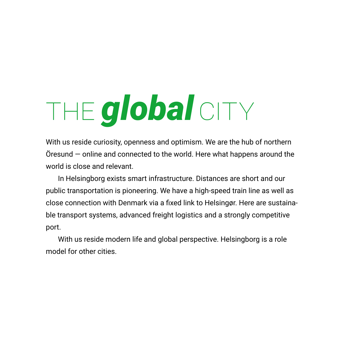# THE **global** CITY

With us reside curiosity, openness and optimism. We are the hub of northern Öresund — online and connected to the world. Here what happens around the world is close and relevant.

In Helsingborg exists smart infrastructure. Distances are short and our public transportation is pioneering. We have a high-speed train line as well as close connection with Denmark via a fixed link to Helsingør. Here are sustainable transport systems, advanced freight logistics and a strongly competitive port.

With us reside modern life and global perspective. Helsingborg is a role model for other cities.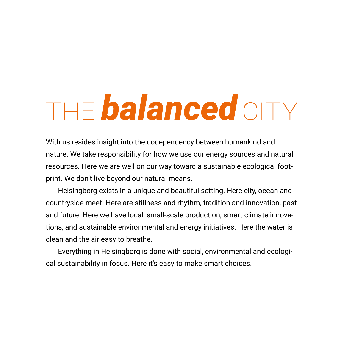# **THE balanced CITY**

With us resides insight into the codependency between humankind and nature. We take responsibility for how we use our energy sources and natural resources. Here we are well on our way toward a sustainable ecological footprint. We don't live beyond our natural means.

Helsingborg exists in a unique and beautiful setting. Here city, ocean and countryside meet. Here are stillness and rhythm, tradition and innovation, past and future. Here we have local, small-scale production, smart climate innovations, and sustainable environmental and energy initiatives. Here the water is clean and the air easy to breathe.

Everything in Helsingborg is done with social, environmental and ecological sustainability in focus. Here it's easy to make smart choices.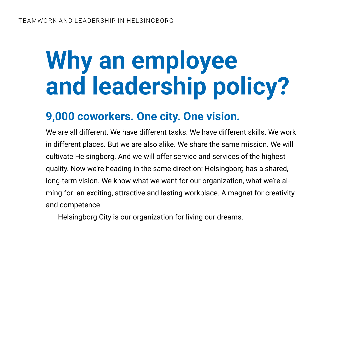### **Why an employee and leadership policy?**

### **9,000 coworkers. One city. One vision.**

We are all different. We have different tasks. We have different skills. We work in different places. But we are also alike. We share the same mission. We will cultivate Helsingborg. And we will offer service and services of the highest quality. Now we're heading in the same direction: Helsingborg has a shared, long-term vision. We know what we want for our organization, what we're aiming for: an exciting, attractive and lasting workplace. A magnet for creativity and competence.

Helsingborg City is our organization for living our dreams.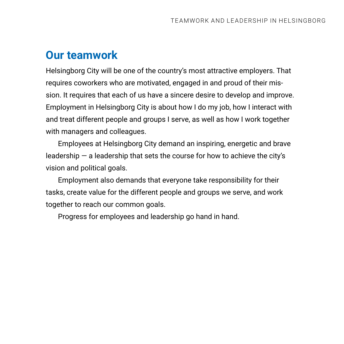### **Our teamwork**

Helsingborg City will be one of the country's most attractive employers. That requires coworkers who are motivated, engaged in and proud of their mission. It requires that each of us have a sincere desire to develop and improve. Employment in Helsingborg City is about how I do my job, how I interact with and treat different people and groups I serve, as well as how I work together with managers and colleagues.

Employees at Helsingborg City demand an inspiring, energetic and brave leadership  $-$  a leadership that sets the course for how to achieve the city's vision and political goals.

Employment also demands that everyone take responsibility for their tasks, create value for the different people and groups we serve, and work together to reach our common goals.

Progress for employees and leadership go hand in hand.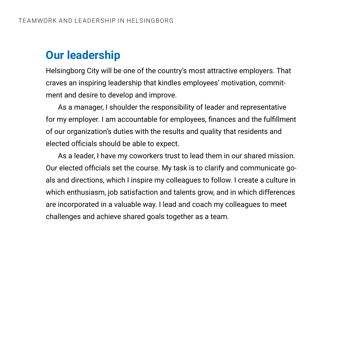### **Our leadership**

Helsingborg City will be one of the country's most attractive employers. That craves an inspiring leadership that kindles employees' motivation, commitment and desire to develop and improve.

As a manager, I shoulder the responsibility of leader and representative for my employer. I am accountable for employees, finances and the fulfillment of our organization's duties with the results and quality that residents and elected officials should be able to expect.

As a leader, I have my coworkers trust to lead them in our shared mission. Our elected officials set the course. My task is to clarify and communicate goals and directions, which I inspire my colleagues to follow. I create a culture in which enthusiasm, job satisfaction and talents grow, and in which differences are incorporated in a valuable way. I lead and coach my colleagues to meet challenges and achieve shared goals together as a team.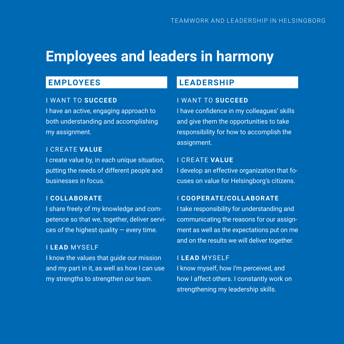### **Employees and leaders in harmony**

#### **EMPLOYEES**

#### I WANT TO **SUCCEED**

I have an active, engaging approach to both understanding and accomplishing my assignment.

#### I CREATE **VALUE**

I create value by, in each unique situation, putting the needs of different people and businesses in focus.

#### I **COLLABORATE**

I share freely of my knowledge and competence so that we, together, deliver services of the highest quality  $-$  every time.

#### I **LEAD** MYSELF

I know the values that guide our mission and my part in it, as well as how I can use my strengths to strengthen our team.

#### **LEADERSHIP**

#### I WANT TO **SUCCEED**

I have confidence in my colleagues' skills and give them the opportunities to take responsibility for how to accomplish the assignment.

#### I CREATE **VALUE**

I develop an effective organization that focuses on value for Helsingborg's citizens.

#### I **COOPERATE/COLLABORATE**

I take responsibility for understanding and communicating the reasons for our assignment as well as the expectations put on me and on the results we will deliver together.

#### I **LEAD** MYSELF

I know myself, how I'm perceived, and how I affect others. I constantly work on strengthening my leadership skills.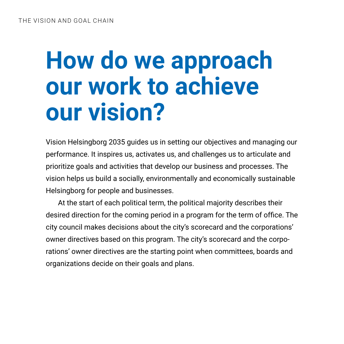### **How do we approach our work to achieve our vision?**

Vision Helsingborg 2035 guides us in setting our objectives and managing our performance. It inspires us, activates us, and challenges us to articulate and prioritize goals and activities that develop our business and processes. The vision helps us build a socially, environmentally and economically sustainable Helsingborg for people and businesses.

At the start of each political term, the political majority describes their desired direction for the coming period in a program for the term of office. The city council makes decisions about the city's scorecard and the corporations' owner directives based on this program. The city's scorecard and the corporations' owner directives are the starting point when committees, boards and organizations decide on their goals and plans.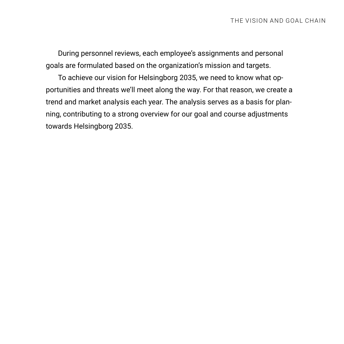During personnel reviews, each employee's assignments and personal goals are formulated based on the organization's mission and targets.

To achieve our vision for Helsingborg 2035, we need to know what opportunities and threats we'll meet along the way. For that reason, we create a trend and market analysis each year. The analysis serves as a basis for planning, contributing to a strong overview for our goal and course adjustments towards Helsingborg 2035.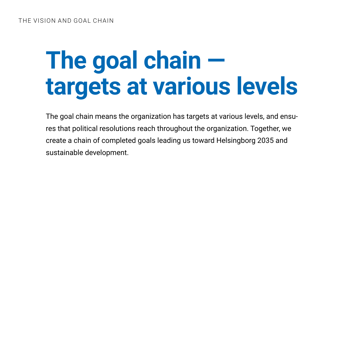### **The goal chain targets at various levels**

The goal chain means the organization has targets at various levels, and ensures that political resolutions reach throughout the organization. Together, we create a chain of completed goals leading us toward Helsingborg 2035 and sustainable development.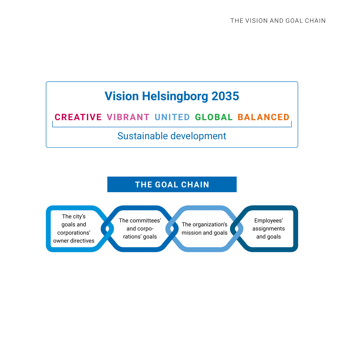### **Vision Helsingborg 2035**

#### **CREATIVE VIBRANT UNITED GLOBAL BALANCED**

#### Sustainable development

#### **THE GOAL CHAIN**